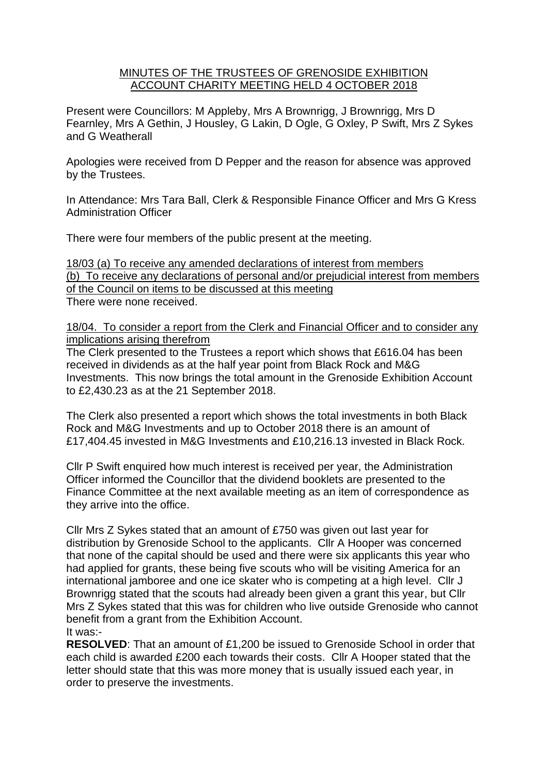## MINUTES OF THE TRUSTEES OF GRENOSIDE EXHIBITION ACCOUNT CHARITY MEETING HELD 4 OCTOBER 2018

Present were Councillors: M Appleby, Mrs A Brownrigg, J Brownrigg, Mrs D Fearnley, Mrs A Gethin, J Housley, G Lakin, D Ogle, G Oxley, P Swift, Mrs Z Sykes and G Weatherall

Apologies were received from D Pepper and the reason for absence was approved by the Trustees.

In Attendance: Mrs Tara Ball, Clerk & Responsible Finance Officer and Mrs G Kress Administration Officer

There were four members of the public present at the meeting.

18/03 (a) To receive any amended declarations of interest from members (b) To receive any declarations of personal and/or prejudicial interest from members of the Council on items to be discussed at this meeting There were none received.

## 18/04. To consider a report from the Clerk and Financial Officer and to consider any implications arising therefrom

The Clerk presented to the Trustees a report which shows that £616.04 has been received in dividends as at the half year point from Black Rock and M&G Investments. This now brings the total amount in the Grenoside Exhibition Account to £2,430.23 as at the 21 September 2018.

The Clerk also presented a report which shows the total investments in both Black Rock and M&G Investments and up to October 2018 there is an amount of £17,404.45 invested in M&G Investments and £10,216.13 invested in Black Rock.

Cllr P Swift enquired how much interest is received per year, the Administration Officer informed the Councillor that the dividend booklets are presented to the Finance Committee at the next available meeting as an item of correspondence as they arrive into the office.

Cllr Mrs Z Sykes stated that an amount of £750 was given out last year for distribution by Grenoside School to the applicants. Cllr A Hooper was concerned that none of the capital should be used and there were six applicants this year who had applied for grants, these being five scouts who will be visiting America for an international jamboree and one ice skater who is competing at a high level. Cllr J Brownrigg stated that the scouts had already been given a grant this year, but Cllr Mrs Z Sykes stated that this was for children who live outside Grenoside who cannot benefit from a grant from the Exhibition Account. It was:-

**RESOLVED**: That an amount of £1,200 be issued to Grenoside School in order that each child is awarded £200 each towards their costs. Cllr A Hooper stated that the letter should state that this was more money that is usually issued each year, in order to preserve the investments.